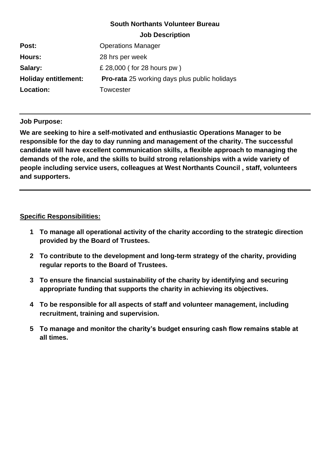# **South Northants Volunteer Bureau**

| <b>Job Description</b> |  |
|------------------------|--|
|------------------------|--|

| Post:                       | <b>Operations Manager</b>                            |
|-----------------------------|------------------------------------------------------|
| Hours:                      | 28 hrs per week                                      |
| Salary:                     | £ 28,000 (for 28 hours pw)                           |
| <b>Holiday entitlement:</b> | <b>Pro-rata</b> 25 working days plus public holidays |
| Location:                   | Towcester                                            |

### **Job Purpose:**

**We are seeking to hire a self-motivated and enthusiastic Operations Manager to be responsible for the day to day running and management of the charity. The successful candidate will have excellent communication skills, a flexible approach to managing the demands of the role, and the skills to build strong relationships with a wide variety of people including service users, colleagues at West Northants Council , staff, volunteers and supporters.**

## **Specific Responsibilities:**

- **1 To manage all operational activity of the charity according to the strategic direction provided by the Board of Trustees.**
- **2 To contribute to the development and long-term strategy of the charity, providing regular reports to the Board of Trustees.**
- **3 To ensure the financial sustainability of the charity by identifying and securing appropriate funding that supports the charity in achieving its objectives.**
- **4 To be responsible for all aspects of staff and volunteer management, including recruitment, training and supervision.**
- **5 To manage and monitor the charity's budget ensuring cash flow remains stable at all times.**